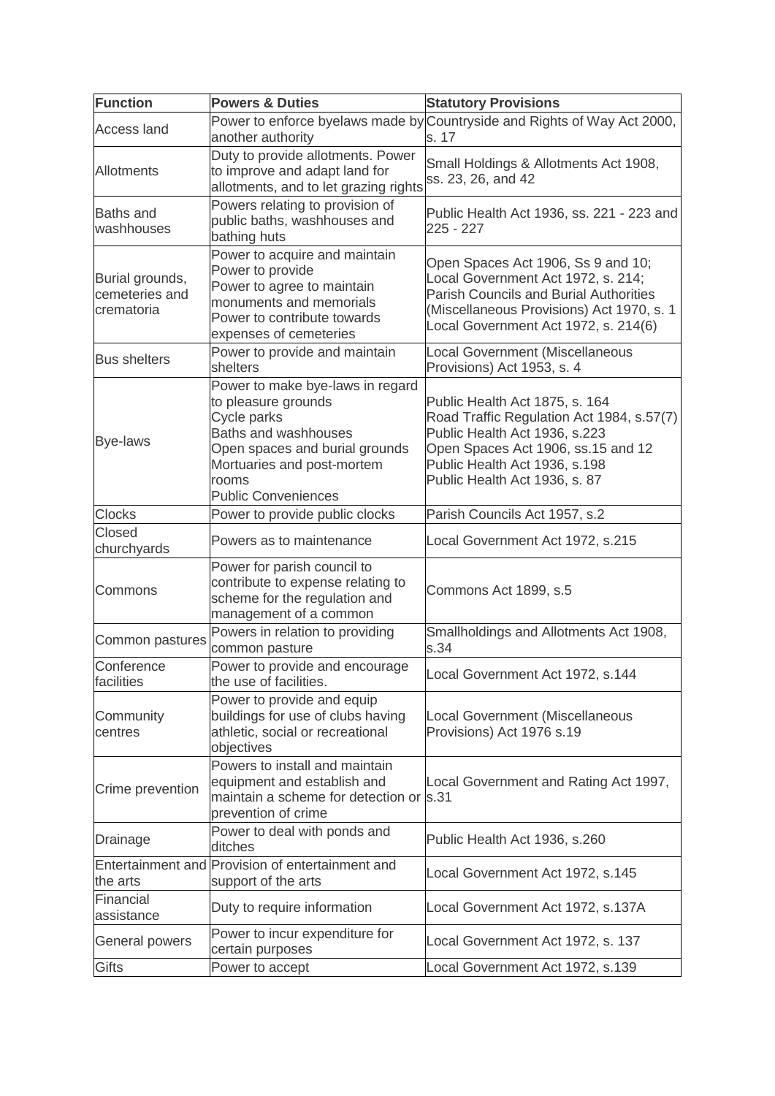| <b>Function</b>                                 | <b>Powers &amp; Duties</b>                                                                                                                                                                            | <b>Statutory Provisions</b>                                                                                                                                                                                          |
|-------------------------------------------------|-------------------------------------------------------------------------------------------------------------------------------------------------------------------------------------------------------|----------------------------------------------------------------------------------------------------------------------------------------------------------------------------------------------------------------------|
| <b>Access land</b>                              | another authority                                                                                                                                                                                     | Power to enforce byelaws made by Countryside and Rights of Way Act 2000,<br>s. 17                                                                                                                                    |
| Allotments                                      | Duty to provide allotments. Power<br>to improve and adapt land for<br>allotments, and to let grazing rights                                                                                           | Small Holdings & Allotments Act 1908,<br>ss. 23, 26, and 42                                                                                                                                                          |
| <b>Baths</b> and<br>washhouses                  | Powers relating to provision of<br>public baths, washhouses and<br>bathing huts                                                                                                                       | Public Health Act 1936, ss. 221 - 223 and<br>$225 - 227$                                                                                                                                                             |
| Burial grounds,<br>cemeteries and<br>crematoria | Power to acquire and maintain<br>Power to provide<br>Power to agree to maintain<br>monuments and memorials<br>Power to contribute towards<br>expenses of cemeteries                                   | Open Spaces Act 1906, Ss 9 and 10;<br>Local Government Act 1972, s. 214;<br><b>Parish Councils and Burial Authorities</b><br>(Miscellaneous Provisions) Act 1970, s. 1<br>Local Government Act 1972, s. 214(6)       |
| <b>Bus shelters</b>                             | Power to provide and maintain<br>shelters                                                                                                                                                             | Local Government (Miscellaneous<br>Provisions) Act 1953, s. 4                                                                                                                                                        |
| <b>Bye-laws</b>                                 | Power to make bye-laws in regard<br>to pleasure grounds<br>Cycle parks<br>Baths and washhouses<br>Open spaces and burial grounds<br>Mortuaries and post-mortem<br>rooms<br><b>Public Conveniences</b> | Public Health Act 1875, s. 164<br>Road Traffic Regulation Act 1984, s.57(7)<br>Public Health Act 1936, s.223<br>Open Spaces Act 1906, ss.15 and 12<br>Public Health Act 1936, s.198<br>Public Health Act 1936, s. 87 |
| <b>Clocks</b>                                   | Power to provide public clocks                                                                                                                                                                        | Parish Councils Act 1957, s.2                                                                                                                                                                                        |
| <b>Closed</b><br>churchyards                    | Powers as to maintenance                                                                                                                                                                              | Local Government Act 1972, s.215                                                                                                                                                                                     |
| Commons                                         | Power for parish council to<br>contribute to expense relating to<br>scheme for the regulation and<br>management of a common                                                                           | Commons Act 1899, s.5                                                                                                                                                                                                |
| Common pastures                                 | Powers in relation to providing<br>common pasture                                                                                                                                                     | Smallholdings and Allotments Act 1908,<br>s.34                                                                                                                                                                       |
| Conference<br>facilities                        | Power to provide and encourage<br>the use of facilities.                                                                                                                                              | Local Government Act 1972, s.144                                                                                                                                                                                     |
| Community<br>centres                            | Power to provide and equip<br>buildings for use of clubs having<br>athletic, social or recreational<br>objectives                                                                                     | Local Government (Miscellaneous<br>Provisions) Act 1976 s.19                                                                                                                                                         |
| Crime prevention                                | Powers to install and maintain<br>equipment and establish and<br>maintain a scheme for detection or<br>prevention of crime                                                                            | Local Government and Rating Act 1997,<br>s.31                                                                                                                                                                        |
| Drainage                                        | Power to deal with ponds and<br>ditches                                                                                                                                                               | Public Health Act 1936, s.260                                                                                                                                                                                        |
| the arts                                        | Entertainment and Provision of entertainment and<br>support of the arts                                                                                                                               | Local Government Act 1972, s.145                                                                                                                                                                                     |
| Financial<br>assistance                         | Duty to require information                                                                                                                                                                           | Local Government Act 1972, s.137A                                                                                                                                                                                    |
| General powers                                  | Power to incur expenditure for<br>certain purposes                                                                                                                                                    | Local Government Act 1972, s. 137                                                                                                                                                                                    |
| <b>Gifts</b>                                    | Power to accept                                                                                                                                                                                       | Local Government Act 1972, s.139                                                                                                                                                                                     |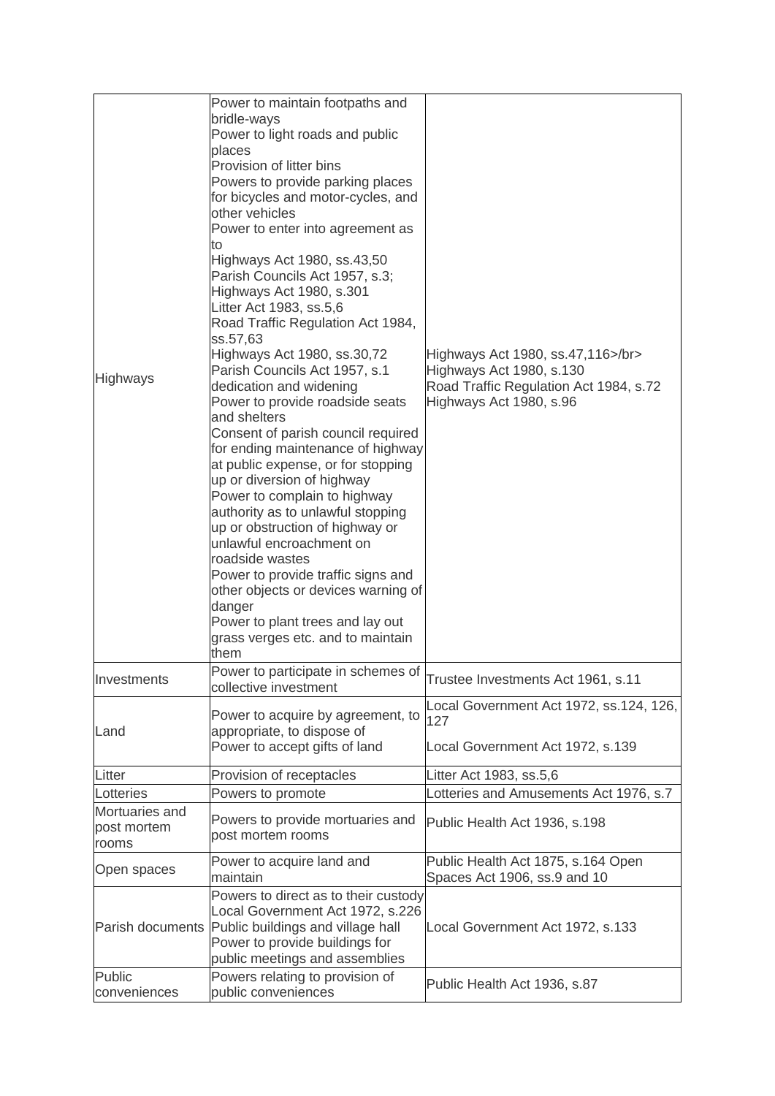| <b>Highways</b>                        | Power to maintain footpaths and<br>bridle-ways<br>Power to light roads and public<br>places<br>Provision of litter bins<br>Powers to provide parking places<br>for bicycles and motor-cycles, and<br>other vehicles<br>Power to enter into agreement as<br>to<br>Highways Act 1980, ss.43,50<br>Parish Councils Act 1957, s.3;<br>Highways Act 1980, s.301<br>Litter Act 1983, ss.5,6<br>Road Traffic Regulation Act 1984,<br>ss.57,63<br>Highways Act 1980, ss.30,72<br>Parish Councils Act 1957, s.1<br>dedication and widening<br>Power to provide roadside seats<br>and shelters<br>Consent of parish council required<br>for ending maintenance of highway<br>at public expense, or for stopping<br>up or diversion of highway<br>Power to complain to highway<br>authority as to unlawful stopping<br>up or obstruction of highway or<br>unlawful encroachment on<br>roadside wastes<br>Power to provide traffic signs and<br>other objects or devices warning of<br>danger<br>Power to plant trees and lay out<br>grass verges etc. and to maintain<br>them | Highways Act 1980, ss.47,116>/br><br>Highways Act 1980, s.130<br>Road Traffic Regulation Act 1984, s.72<br>Highways Act 1980, s.96 |
|----------------------------------------|--------------------------------------------------------------------------------------------------------------------------------------------------------------------------------------------------------------------------------------------------------------------------------------------------------------------------------------------------------------------------------------------------------------------------------------------------------------------------------------------------------------------------------------------------------------------------------------------------------------------------------------------------------------------------------------------------------------------------------------------------------------------------------------------------------------------------------------------------------------------------------------------------------------------------------------------------------------------------------------------------------------------------------------------------------------------|------------------------------------------------------------------------------------------------------------------------------------|
| Investments                            | Power to participate in schemes of<br>collective investment                                                                                                                                                                                                                                                                                                                                                                                                                                                                                                                                                                                                                                                                                                                                                                                                                                                                                                                                                                                                        | Trustee Investments Act 1961, s.11                                                                                                 |
| Land                                   | Power to acquire by agreement, to<br>appropriate, to dispose of<br>Power to accept gifts of land                                                                                                                                                                                                                                                                                                                                                                                                                                                                                                                                                                                                                                                                                                                                                                                                                                                                                                                                                                   | Local Government Act 1972, ss.124, 126,<br>127<br>Local Government Act 1972, s.139                                                 |
| Litter                                 | Provision of receptacles                                                                                                                                                                                                                                                                                                                                                                                                                                                                                                                                                                                                                                                                                                                                                                                                                                                                                                                                                                                                                                           | Litter Act 1983, ss.5,6                                                                                                            |
| Lotteries                              | Powers to promote                                                                                                                                                                                                                                                                                                                                                                                                                                                                                                                                                                                                                                                                                                                                                                                                                                                                                                                                                                                                                                                  | otteries and Amusements Act 1976, s.7                                                                                              |
| Mortuaries and<br>post mortem<br>rooms | Powers to provide mortuaries and<br>post mortem rooms                                                                                                                                                                                                                                                                                                                                                                                                                                                                                                                                                                                                                                                                                                                                                                                                                                                                                                                                                                                                              | Public Health Act 1936, s.198                                                                                                      |
| Open spaces                            | Power to acquire land and<br>maintain                                                                                                                                                                                                                                                                                                                                                                                                                                                                                                                                                                                                                                                                                                                                                                                                                                                                                                                                                                                                                              | Public Health Act 1875, s.164 Open<br>Spaces Act 1906, ss.9 and 10                                                                 |
| Parish documents                       | Powers to direct as to their custody<br>Local Government Act 1972, s.226<br>Public buildings and village hall<br>Power to provide buildings for<br>public meetings and assemblies                                                                                                                                                                                                                                                                                                                                                                                                                                                                                                                                                                                                                                                                                                                                                                                                                                                                                  | Local Government Act 1972, s.133                                                                                                   |
| <b>Public</b><br>conveniences          | Powers relating to provision of<br>public conveniences                                                                                                                                                                                                                                                                                                                                                                                                                                                                                                                                                                                                                                                                                                                                                                                                                                                                                                                                                                                                             | Public Health Act 1936, s.87                                                                                                       |